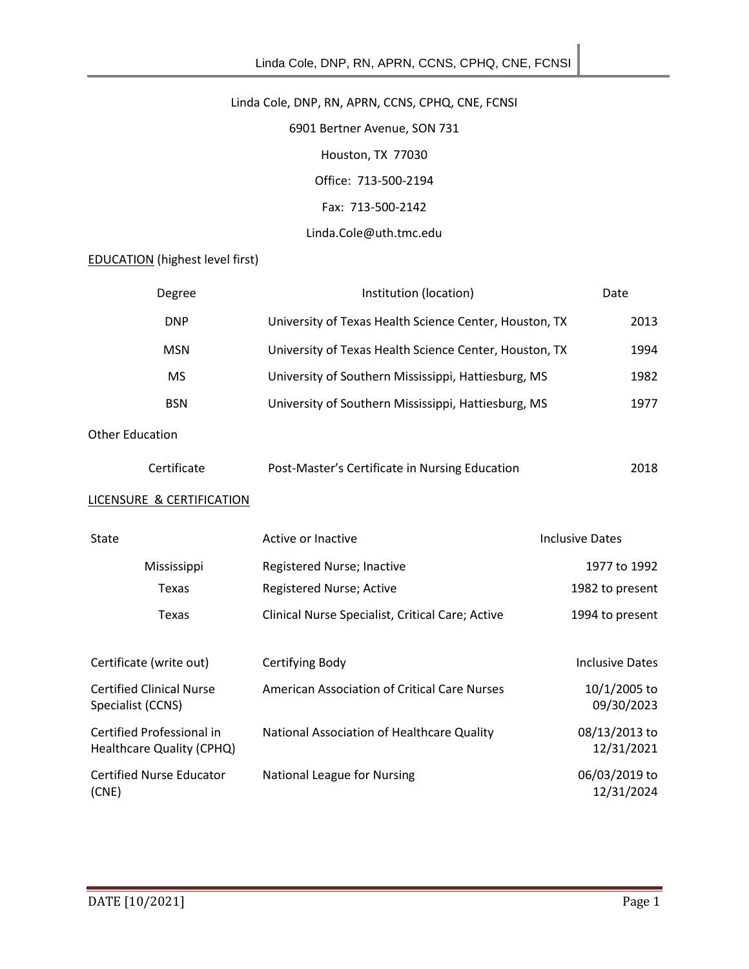# Linda Cole, DNP, RN, APRN, CCNS, CPHQ, CNE, FCNSI

6901 Bertner Avenue, SON 731 Houston, TX 77030 Office: 713-500-2194 Fax: 713-500-2142 Linda.Cole@uth.tmc.edu

EDUCATION (highest level first)

| Degree                                                 | Institution (location)                                 | Date                        |
|--------------------------------------------------------|--------------------------------------------------------|-----------------------------|
| <b>DNP</b>                                             | University of Texas Health Science Center, Houston, TX | 2013                        |
| <b>MSN</b>                                             | University of Texas Health Science Center, Houston, TX | 1994                        |
| <b>MS</b>                                              | University of Southern Mississippi, Hattiesburg, MS    | 1982                        |
| <b>BSN</b>                                             | University of Southern Mississippi, Hattiesburg, MS    | 1977                        |
| <b>Other Education</b>                                 |                                                        |                             |
| Certificate                                            | Post-Master's Certificate in Nursing Education         | 2018                        |
| <b>LICENSURE &amp; CERTIFICATION</b>                   |                                                        |                             |
| <b>State</b>                                           | Active or Inactive                                     | <b>Inclusive Dates</b>      |
| Mississippi                                            | Registered Nurse; Inactive                             | 1977 to 1992                |
| <b>Texas</b>                                           | Registered Nurse; Active                               | 1982 to present             |
| Texas                                                  | Clinical Nurse Specialist, Critical Care; Active       | 1994 to present             |
| Certificate (write out)                                | Certifying Body                                        | <b>Inclusive Dates</b>      |
| <b>Certified Clinical Nurse</b><br>Specialist (CCNS)   | <b>American Association of Critical Care Nurses</b>    | 10/1/2005 to<br>09/30/2023  |
| Certified Professional in<br>Healthcare Quality (CPHQ) | National Association of Healthcare Quality             | 08/13/2013 to<br>12/31/2021 |
| <b>Certified Nurse Educator</b><br>(CNE)               | National League for Nursing                            | 06/03/2019 to<br>12/31/2024 |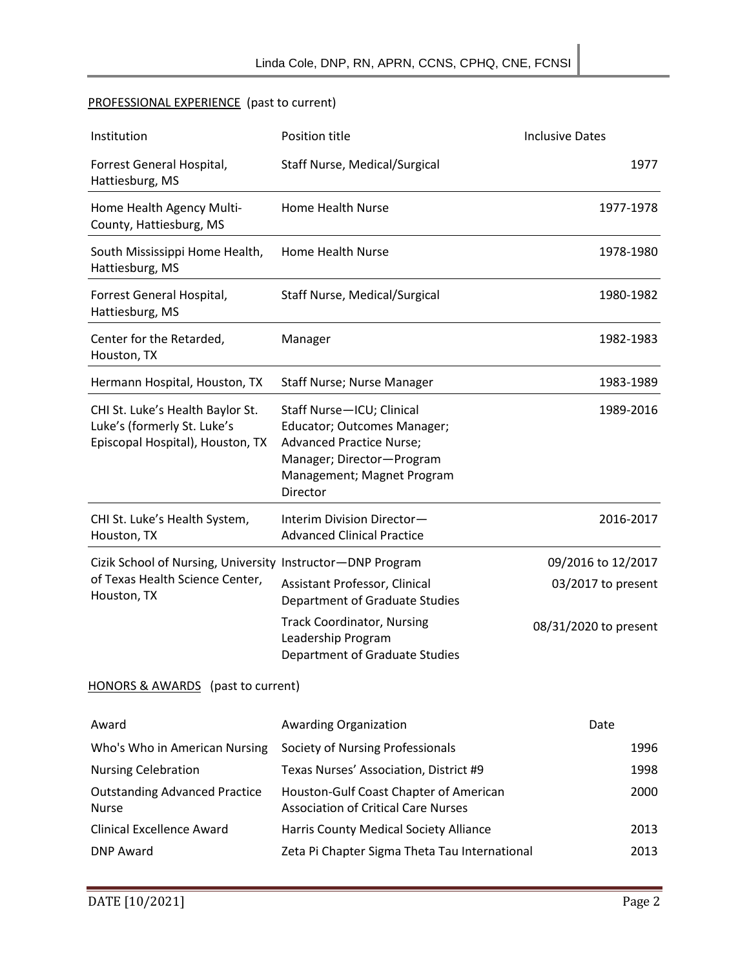## PROFESSIONAL EXPERIENCE (past to current)

| Institution                                                                                                  | Position title                                                                                                                                                     | <b>Inclusive Dates</b> |
|--------------------------------------------------------------------------------------------------------------|--------------------------------------------------------------------------------------------------------------------------------------------------------------------|------------------------|
| Forrest General Hospital,<br>Hattiesburg, MS                                                                 | Staff Nurse, Medical/Surgical                                                                                                                                      | 1977                   |
| Home Health Agency Multi-<br>County, Hattiesburg, MS                                                         | Home Health Nurse                                                                                                                                                  | 1977-1978              |
| South Mississippi Home Health,<br>Hattiesburg, MS                                                            | Home Health Nurse                                                                                                                                                  | 1978-1980              |
| Forrest General Hospital,<br>Hattiesburg, MS                                                                 | Staff Nurse, Medical/Surgical                                                                                                                                      | 1980-1982              |
| Center for the Retarded,<br>Houston, TX                                                                      | Manager                                                                                                                                                            | 1982-1983              |
| Hermann Hospital, Houston, TX                                                                                | Staff Nurse; Nurse Manager                                                                                                                                         | 1983-1989              |
| CHI St. Luke's Health Baylor St.<br>Luke's (formerly St. Luke's<br>Episcopal Hospital), Houston, TX          | Staff Nurse-ICU; Clinical<br>Educator; Outcomes Manager;<br><b>Advanced Practice Nurse;</b><br>Manager; Director-Program<br>Management; Magnet Program<br>Director | 1989-2016              |
| CHI St. Luke's Health System,<br>Houston, TX                                                                 | Interim Division Director-<br><b>Advanced Clinical Practice</b>                                                                                                    | 2016-2017              |
| Cizik School of Nursing, University Instructor-DNP Program<br>of Texas Health Science Center,<br>Houston, TX |                                                                                                                                                                    | 09/2016 to 12/2017     |
|                                                                                                              | Assistant Professor, Clinical<br>Department of Graduate Studies                                                                                                    | 03/2017 to present     |
|                                                                                                              | <b>Track Coordinator, Nursing</b><br>Leadership Program<br>Department of Graduate Studies                                                                          | 08/31/2020 to present  |
| HONORS & AWARDS (past to current)                                                                            |                                                                                                                                                                    |                        |
| Award                                                                                                        | Awarding Organization                                                                                                                                              | Date                   |
| Who's Who in American Nursing                                                                                | Society of Nursing Professionals                                                                                                                                   | 1996                   |
| <b>Nursing Celebration</b>                                                                                   | Texas Nurses' Association, District #9                                                                                                                             | 1998                   |
| <b>Outstanding Advanced Practice</b><br><b>Nurse</b>                                                         | Houston-Gulf Coast Chapter of American<br><b>Association of Critical Care Nurses</b>                                                                               | 2000                   |
| <b>Clinical Excellence Award</b>                                                                             | Harris County Medical Society Alliance                                                                                                                             | 2013                   |
| <b>DNP Award</b>                                                                                             | Zeta Pi Chapter Sigma Theta Tau International                                                                                                                      | 2013                   |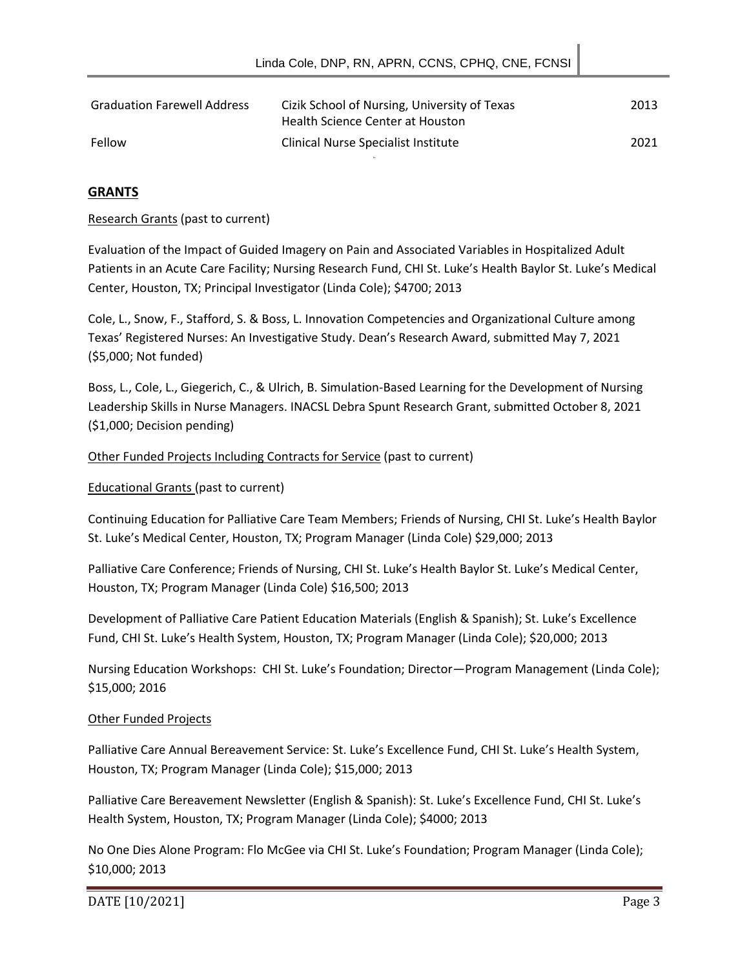| <b>Graduation Farewell Address</b> | Cizik School of Nursing, University of Texas<br>Health Science Center at Houston | 2013 |
|------------------------------------|----------------------------------------------------------------------------------|------|
| Fellow                             | Clinical Nurse Specialist Institute                                              | 2021 |

## **GRANTS**

Research Grants (past to current)

Evaluation of the Impact of Guided Imagery on Pain and Associated Variables in Hospitalized Adult Patients in an Acute Care Facility; Nursing Research Fund, CHI St. Luke's Health Baylor St. Luke's Medical Center, Houston, TX; Principal Investigator (Linda Cole); \$4700; 2013

Cole, L., Snow, F., Stafford, S. & Boss, L. Innovation Competencies and Organizational Culture among Texas' Registered Nurses: An Investigative Study. Dean's Research Award, submitted May 7, 2021 (\$5,000; Not funded)

Boss, L., Cole, L., Giegerich, C., & Ulrich, B. Simulation-Based Learning for the Development of Nursing Leadership Skills in Nurse Managers. INACSL Debra Spunt Research Grant, submitted October 8, 2021 (\$1,000; Decision pending)

#### Other Funded Projects Including Contracts for Service (past to current)

#### Educational Grants (past to current)

Continuing Education for Palliative Care Team Members; Friends of Nursing, CHI St. Luke's Health Baylor St. Luke's Medical Center, Houston, TX; Program Manager (Linda Cole) \$29,000; 2013

Palliative Care Conference; Friends of Nursing, CHI St. Luke's Health Baylor St. Luke's Medical Center, Houston, TX; Program Manager (Linda Cole) \$16,500; 2013

Development of Palliative Care Patient Education Materials (English & Spanish); St. Luke's Excellence Fund, CHI St. Luke's Health System, Houston, TX; Program Manager (Linda Cole); \$20,000; 2013

Nursing Education Workshops: CHI St. Luke's Foundation; Director—Program Management (Linda Cole); \$15,000; 2016

#### Other Funded Projects

Palliative Care Annual Bereavement Service: St. Luke's Excellence Fund, CHI St. Luke's Health System, Houston, TX; Program Manager (Linda Cole); \$15,000; 2013

Palliative Care Bereavement Newsletter (English & Spanish): St. Luke's Excellence Fund, CHI St. Luke's Health System, Houston, TX; Program Manager (Linda Cole); \$4000; 2013

No One Dies Alone Program: Flo McGee via CHI St. Luke's Foundation; Program Manager (Linda Cole); \$10,000; 2013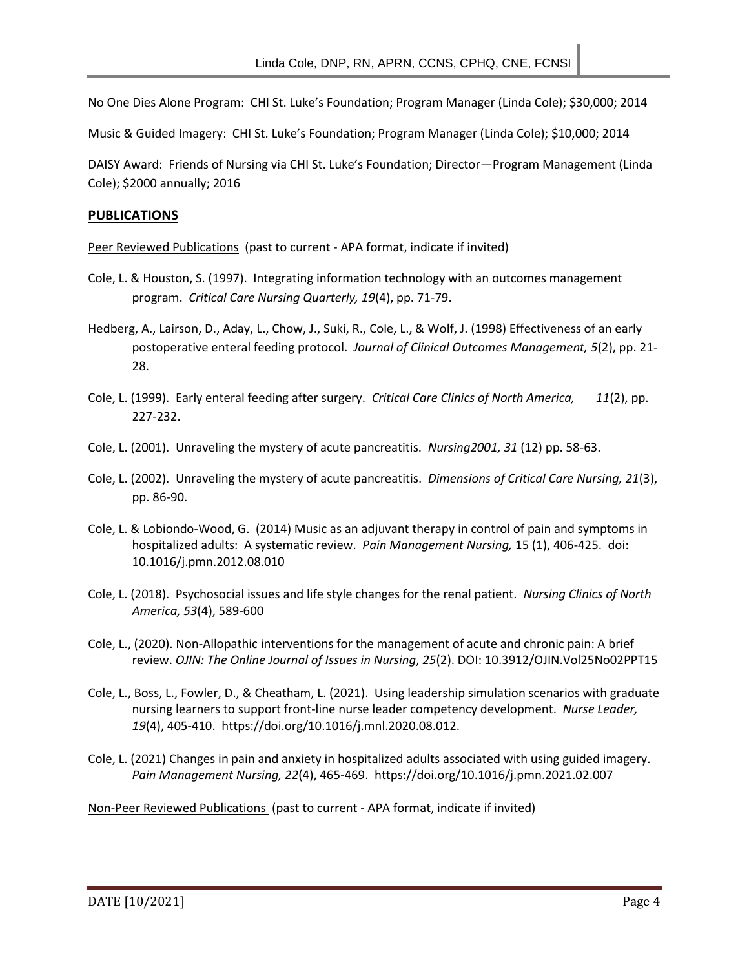No One Dies Alone Program: CHI St. Luke's Foundation; Program Manager (Linda Cole); \$30,000; 2014

Music & Guided Imagery: CHI St. Luke's Foundation; Program Manager (Linda Cole); \$10,000; 2014

DAISY Award: Friends of Nursing via CHI St. Luke's Foundation; Director—Program Management (Linda Cole); \$2000 annually; 2016

#### **PUBLICATIONS**

Peer Reviewed Publications (past to current - APA format, indicate if invited)

- Cole, L. & Houston, S. (1997). Integrating information technology with an outcomes management program. *Critical Care Nursing Quarterly, 19*(4), pp. 71-79.
- Hedberg, A., Lairson, D., Aday, L., Chow, J., Suki, R., Cole, L., & Wolf, J. (1998) Effectiveness of an early postoperative enteral feeding protocol. *Journal of Clinical Outcomes Management, 5*(2), pp. 21- 28.
- Cole, L. (1999). Early enteral feeding after surgery. *Critical Care Clinics of North America, 11*(2), pp. 227-232.
- Cole, L. (2001). Unraveling the mystery of acute pancreatitis. *Nursing2001, 31* (12) pp. 58-63.
- Cole, L. (2002). Unraveling the mystery of acute pancreatitis. *Dimensions of Critical Care Nursing, 21*(3), pp. 86-90.
- Cole, L. & Lobiondo-Wood, G. (2014) Music as an adjuvant therapy in control of pain and symptoms in hospitalized adults: A systematic review. *Pain Management Nursing,* 15 (1), 406-425. doi: 10.1016/j.pmn.2012.08.010
- Cole, L. (2018). Psychosocial issues and life style changes for the renal patient. *Nursing Clinics of North America, 53*(4), 589-600
- Cole, L., (2020). Non-Allopathic interventions for the management of acute and chronic pain: A brief review. *OJIN: The Online Journal of Issues in Nursing*, *25*(2). DOI: 10.3912/OJIN.Vol25No02PPT15
- Cole, L., Boss, L., Fowler, D., & Cheatham, L. (2021). Using leadership simulation scenarios with graduate nursing learners to support front-line nurse leader competency development. *Nurse Leader, 19*(4), 405-410. https://doi.org/10.1016/j.mnl.2020.08.012.
- Cole, L. (2021) Changes in pain and anxiety in hospitalized adults associated with using guided imagery. *Pain Management Nursing, 22*(4), 465-469. https://doi.org/10.1016/j.pmn.2021.02.007

Non-Peer Reviewed Publications (past to current - APA format, indicate if invited)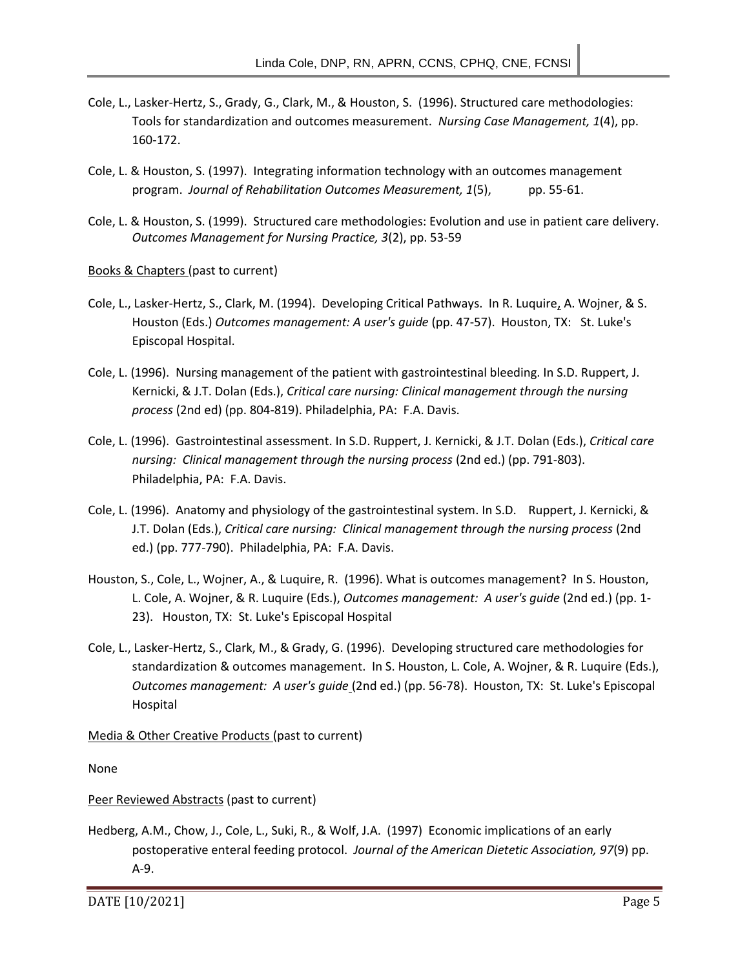- Cole, L., Lasker-Hertz, S., Grady, G., Clark, M., & Houston, S. (1996). Structured care methodologies: Tools for standardization and outcomes measurement. *Nursing Case Management, 1*(4), pp. 160-172.
- Cole, L. & Houston, S. (1997). Integrating information technology with an outcomes management program. *Journal of Rehabilitation Outcomes Measurement, 1*(5), pp. 55-61.
- Cole, L. & Houston, S. (1999). Structured care methodologies: Evolution and use in patient care delivery. *Outcomes Management for Nursing Practice, 3*(2), pp. 53-59

Books & Chapters (past to current)

- Cole, L., Lasker-Hertz, S., Clark, M. (1994). Developing Critical Pathways. In R. Luquire, A. Wojner, & S. Houston (Eds.) *Outcomes management: A user's guide* (pp. 47-57). Houston, TX: St. Luke's Episcopal Hospital.
- Cole, L. (1996). Nursing management of the patient with gastrointestinal bleeding. In S.D. Ruppert, J. Kernicki, & J.T. Dolan (Eds.), *Critical care nursing: Clinical management through the nursing process* (2nd ed) (pp. 804-819). Philadelphia, PA: F.A. Davis.
- Cole, L. (1996). Gastrointestinal assessment. In S.D. Ruppert, J. Kernicki, & J.T. Dolan (Eds.), *Critical care nursing: Clinical management through the nursing process* (2nd ed.) (pp. 791-803). Philadelphia, PA: F.A. Davis.
- Cole, L. (1996). Anatomy and physiology of the gastrointestinal system. In S.D. Ruppert, J. Kernicki, & J.T. Dolan (Eds.), *Critical care nursing: Clinical management through the nursing process* (2nd ed.) (pp. 777-790). Philadelphia, PA: F.A. Davis.
- Houston, S., Cole, L., Wojner, A., & Luquire, R. (1996). What is outcomes management? In S. Houston, L. Cole, A. Wojner, & R. Luquire (Eds.), *Outcomes management: A user's guide* (2nd ed.) (pp. 1- 23). Houston, TX: St. Luke's Episcopal Hospital
- Cole, L., Lasker-Hertz, S., Clark, M., & Grady, G. (1996). Developing structured care methodologies for standardization & outcomes management. In S. Houston, L. Cole, A. Wojner, & R. Luquire (Eds.), *Outcomes management: A user's guide* (2nd ed.) (pp. 56-78). Houston, TX: St. Luke's Episcopal Hospital

Media & Other Creative Products (past to current)

None

#### Peer Reviewed Abstracts (past to current)

Hedberg, A.M., Chow, J., Cole, L., Suki, R., & Wolf, J.A. (1997) Economic implications of an early postoperative enteral feeding protocol. *Journal of the American Dietetic Association, 97*(9) pp. A-9.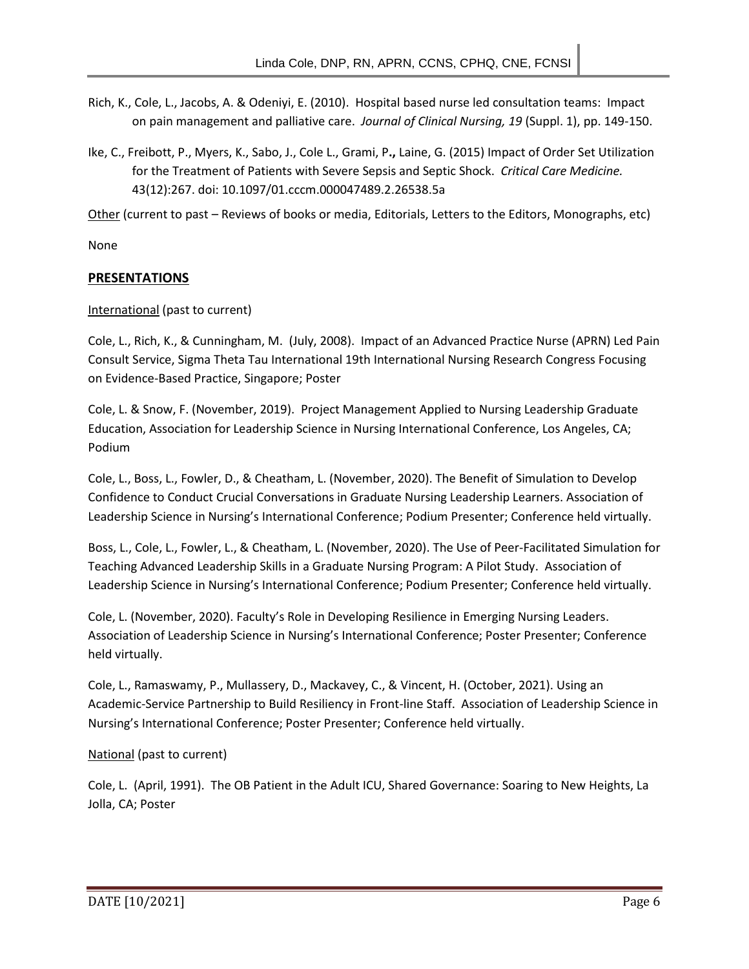- Rich, K., Cole, L., Jacobs, A. & Odeniyi, E. (2010). Hospital based nurse led consultation teams: Impact on pain management and palliative care. *Journal of Clinical Nursing, 19* (Suppl. 1), pp. 149-150.
- Ike, C., Freibott, P., Myers, K., Sabo, J., Cole L., Grami, P**.,** Laine, G. (2015) Impact of Order Set Utilization for the Treatment of Patients with Severe Sepsis and Septic Shock. *Critical Care Medicine.* 43(12):267. doi: 10.1097/01.cccm.000047489.2.26538.5a

Other (current to past – Reviews of books or media, Editorials, Letters to the Editors, Monographs, etc)

None

## **PRESENTATIONS**

## International (past to current)

Cole, L., Rich, K., & Cunningham, M. (July, 2008). Impact of an Advanced Practice Nurse (APRN) Led Pain Consult Service, Sigma Theta Tau International 19th International Nursing Research Congress Focusing on Evidence-Based Practice, Singapore; Poster

Cole, L. & Snow, F. (November, 2019). Project Management Applied to Nursing Leadership Graduate Education, Association for Leadership Science in Nursing International Conference, Los Angeles, CA; Podium

Cole, L., Boss, L., Fowler, D., & Cheatham, L. (November, 2020). The Benefit of Simulation to Develop Confidence to Conduct Crucial Conversations in Graduate Nursing Leadership Learners. Association of Leadership Science in Nursing's International Conference; Podium Presenter; Conference held virtually.

Boss, L., Cole, L., Fowler, L., & Cheatham, L. (November, 2020). The Use of Peer-Facilitated Simulation for Teaching Advanced Leadership Skills in a Graduate Nursing Program: A Pilot Study. Association of Leadership Science in Nursing's International Conference; Podium Presenter; Conference held virtually.

Cole, L. (November, 2020). Faculty's Role in Developing Resilience in Emerging Nursing Leaders. Association of Leadership Science in Nursing's International Conference; Poster Presenter; Conference held virtually.

Cole, L., Ramaswamy, P., Mullassery, D., Mackavey, C., & Vincent, H. (October, 2021). Using an Academic-Service Partnership to Build Resiliency in Front-line Staff. Association of Leadership Science in Nursing's International Conference; Poster Presenter; Conference held virtually.

## National (past to current)

Cole, L. (April, 1991). The OB Patient in the Adult ICU, Shared Governance: Soaring to New Heights, La Jolla, CA; Poster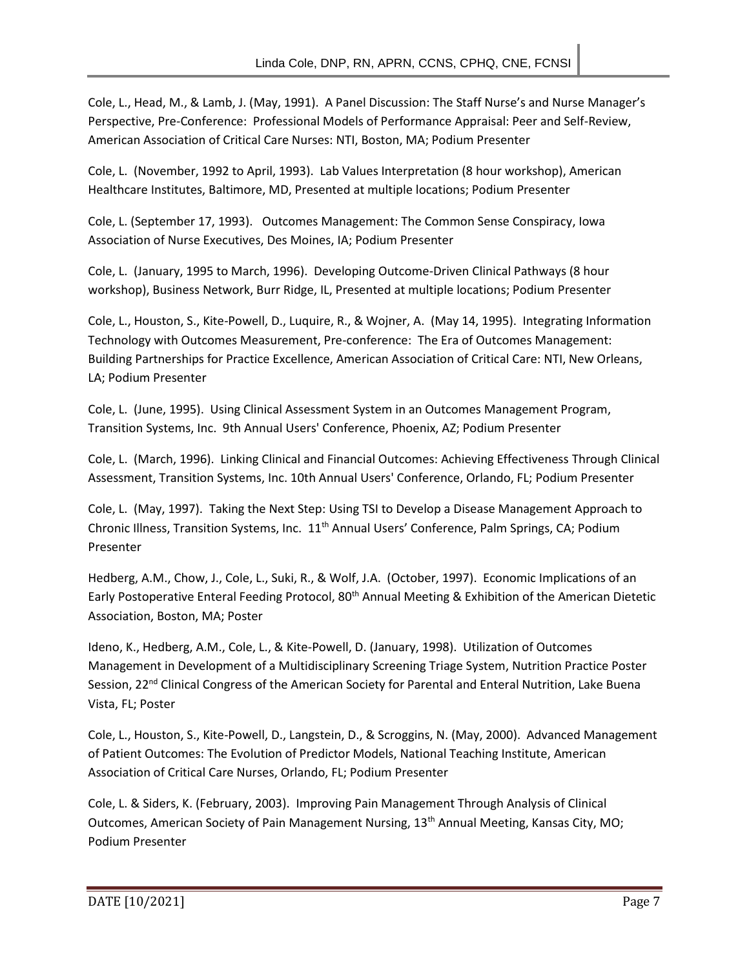Cole, L., Head, M., & Lamb, J. (May, 1991). A Panel Discussion: The Staff Nurse's and Nurse Manager's Perspective, Pre-Conference: Professional Models of Performance Appraisal: Peer and Self-Review, American Association of Critical Care Nurses: NTI, Boston, MA; Podium Presenter

Cole, L. (November, 1992 to April, 1993). Lab Values Interpretation (8 hour workshop), American Healthcare Institutes, Baltimore, MD, Presented at multiple locations; Podium Presenter

Cole, L. (September 17, 1993). Outcomes Management: The Common Sense Conspiracy, Iowa Association of Nurse Executives, Des Moines, IA; Podium Presenter

Cole, L. (January, 1995 to March, 1996). Developing Outcome-Driven Clinical Pathways (8 hour workshop), Business Network, Burr Ridge, IL, Presented at multiple locations; Podium Presenter

Cole, L., Houston, S., Kite-Powell, D., Luquire, R., & Wojner, A. (May 14, 1995). Integrating Information Technology with Outcomes Measurement, Pre-conference: The Era of Outcomes Management: Building Partnerships for Practice Excellence, American Association of Critical Care: NTI, New Orleans, LA; Podium Presenter

Cole, L. (June, 1995). Using Clinical Assessment System in an Outcomes Management Program, Transition Systems, Inc. 9th Annual Users' Conference, Phoenix, AZ; Podium Presenter

Cole, L. (March, 1996). Linking Clinical and Financial Outcomes: Achieving Effectiveness Through Clinical Assessment, Transition Systems, Inc. 10th Annual Users' Conference, Orlando, FL; Podium Presenter

Cole, L. (May, 1997). Taking the Next Step: Using TSI to Develop a Disease Management Approach to Chronic Illness, Transition Systems, Inc. 11<sup>th</sup> Annual Users' Conference, Palm Springs, CA; Podium Presenter

Hedberg, A.M., Chow, J., Cole, L., Suki, R., & Wolf, J.A. (October, 1997). Economic Implications of an Early Postoperative Enteral Feeding Protocol, 80<sup>th</sup> Annual Meeting & Exhibition of the American Dietetic Association, Boston, MA; Poster

Ideno, K., Hedberg, A.M., Cole, L., & Kite-Powell, D. (January, 1998). Utilization of Outcomes Management in Development of a Multidisciplinary Screening Triage System, Nutrition Practice Poster Session, 22<sup>nd</sup> Clinical Congress of the American Society for Parental and Enteral Nutrition, Lake Buena Vista, FL; Poster

Cole, L., Houston, S., Kite-Powell, D., Langstein, D., & Scroggins, N. (May, 2000). Advanced Management of Patient Outcomes: The Evolution of Predictor Models, National Teaching Institute, American Association of Critical Care Nurses, Orlando, FL; Podium Presenter

Cole, L. & Siders, K. (February, 2003). Improving Pain Management Through Analysis of Clinical Outcomes, American Society of Pain Management Nursing, 13th Annual Meeting, Kansas City, MO; Podium Presenter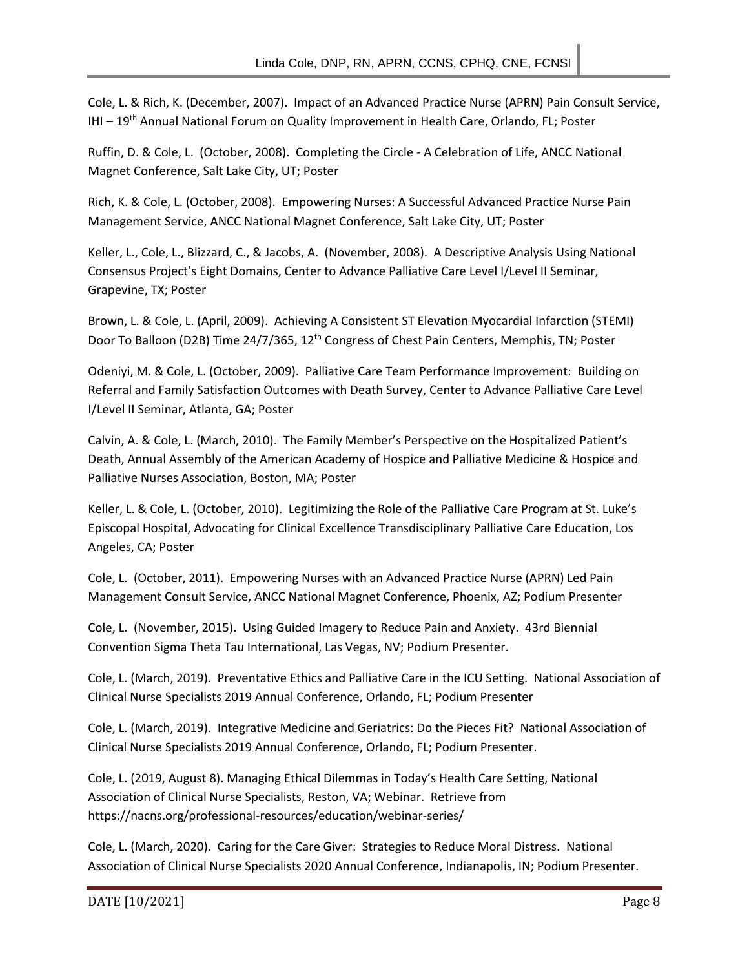Cole, L. & Rich, K. (December, 2007). Impact of an Advanced Practice Nurse (APRN) Pain Consult Service, IHI - 19<sup>th</sup> Annual National Forum on Quality Improvement in Health Care, Orlando, FL; Poster

Ruffin, D. & Cole, L. (October, 2008). Completing the Circle - A Celebration of Life, ANCC National Magnet Conference, Salt Lake City, UT; Poster

Rich, K. & Cole, L. (October, 2008). Empowering Nurses: A Successful Advanced Practice Nurse Pain Management Service, ANCC National Magnet Conference, Salt Lake City, UT; Poster

Keller, L., Cole, L., Blizzard, C., & Jacobs, A. (November, 2008). A Descriptive Analysis Using National Consensus Project's Eight Domains, Center to Advance Palliative Care Level I/Level II Seminar, Grapevine, TX; Poster

Brown, L. & Cole, L. (April, 2009). Achieving A Consistent ST Elevation Myocardial Infarction (STEMI) Door To Balloon (D2B) Time 24/7/365, 12<sup>th</sup> Congress of Chest Pain Centers, Memphis, TN; Poster

Odeniyi, M. & Cole, L. (October, 2009). Palliative Care Team Performance Improvement: Building on Referral and Family Satisfaction Outcomes with Death Survey, Center to Advance Palliative Care Level I/Level II Seminar, Atlanta, GA; Poster

Calvin, A. & Cole, L. (March, 2010). The Family Member's Perspective on the Hospitalized Patient's Death, Annual Assembly of the American Academy of Hospice and Palliative Medicine & Hospice and Palliative Nurses Association, Boston, MA; Poster

Keller, L. & Cole, L. (October, 2010). Legitimizing the Role of the Palliative Care Program at St. Luke's Episcopal Hospital, Advocating for Clinical Excellence Transdisciplinary Palliative Care Education, Los Angeles, CA; Poster

Cole, L. (October, 2011). Empowering Nurses with an Advanced Practice Nurse (APRN) Led Pain Management Consult Service, ANCC National Magnet Conference, Phoenix, AZ; Podium Presenter

Cole, L. (November, 2015). Using Guided Imagery to Reduce Pain and Anxiety. 43rd Biennial Convention Sigma Theta Tau International, Las Vegas, NV; Podium Presenter.

Cole, L. (March, 2019). Preventative Ethics and Palliative Care in the ICU Setting. National Association of Clinical Nurse Specialists 2019 Annual Conference, Orlando, FL; Podium Presenter

Cole, L. (March, 2019). Integrative Medicine and Geriatrics: Do the Pieces Fit? National Association of Clinical Nurse Specialists 2019 Annual Conference, Orlando, FL; Podium Presenter.

Cole, L. (2019, August 8). Managing Ethical Dilemmas in Today's Health Care Setting, National Association of Clinical Nurse Specialists, Reston, VA; Webinar. Retrieve from https://nacns.org/professional-resources/education/webinar-series/

Cole, L. (March, 2020). Caring for the Care Giver: Strategies to Reduce Moral Distress. National Association of Clinical Nurse Specialists 2020 Annual Conference, Indianapolis, IN; Podium Presenter.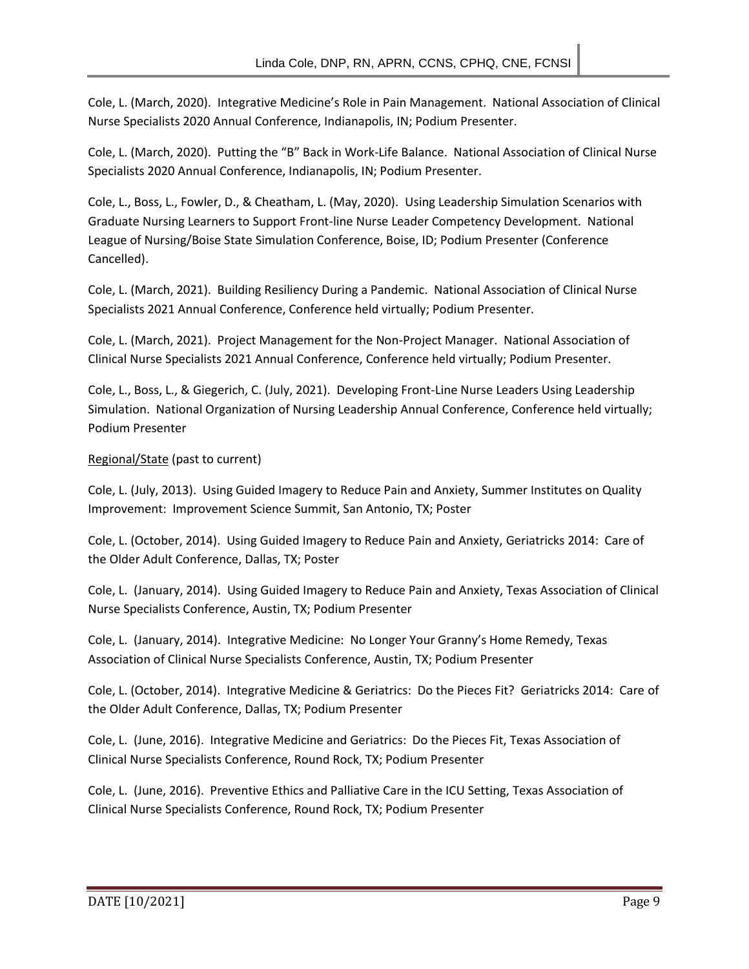Cole, L. (March, 2020). Integrative Medicine's Role in Pain Management. National Association of Clinical Nurse Specialists 2020 Annual Conference, Indianapolis, IN; Podium Presenter.

Cole, L. (March, 2020). Putting the "B" Back in Work-Life Balance. National Association of Clinical Nurse Specialists 2020 Annual Conference, Indianapolis, IN; Podium Presenter.

Cole, L., Boss, L., Fowler, D., & Cheatham, L. (May, 2020). Using Leadership Simulation Scenarios with Graduate Nursing Learners to Support Front-line Nurse Leader Competency Development. National League of Nursing/Boise State Simulation Conference, Boise, ID; Podium Presenter (Conference Cancelled).

Cole, L. (March, 2021). Building Resiliency During a Pandemic. National Association of Clinical Nurse Specialists 2021 Annual Conference, Conference held virtually; Podium Presenter.

Cole, L. (March, 2021). Project Management for the Non-Project Manager. National Association of Clinical Nurse Specialists 2021 Annual Conference, Conference held virtually; Podium Presenter.

Cole, L., Boss, L., & Giegerich, C. (July, 2021). Developing Front-Line Nurse Leaders Using Leadership Simulation. National Organization of Nursing Leadership Annual Conference, Conference held virtually; Podium Presenter

## Regional/State (past to current)

Cole, L. (July, 2013). Using Guided Imagery to Reduce Pain and Anxiety, Summer Institutes on Quality Improvement: Improvement Science Summit, San Antonio, TX; Poster

Cole, L. (October, 2014). Using Guided Imagery to Reduce Pain and Anxiety, Geriatricks 2014: Care of the Older Adult Conference, Dallas, TX; Poster

Cole, L. (January, 2014). Using Guided Imagery to Reduce Pain and Anxiety, Texas Association of Clinical Nurse Specialists Conference, Austin, TX; Podium Presenter

Cole, L. (January, 2014). Integrative Medicine: No Longer Your Granny's Home Remedy, Texas Association of Clinical Nurse Specialists Conference, Austin, TX; Podium Presenter

Cole, L. (October, 2014). Integrative Medicine & Geriatrics: Do the Pieces Fit? Geriatricks 2014: Care of the Older Adult Conference, Dallas, TX; Podium Presenter

Cole, L. (June, 2016). Integrative Medicine and Geriatrics: Do the Pieces Fit, Texas Association of Clinical Nurse Specialists Conference, Round Rock, TX; Podium Presenter

Cole, L. (June, 2016). Preventive Ethics and Palliative Care in the ICU Setting, Texas Association of Clinical Nurse Specialists Conference, Round Rock, TX; Podium Presenter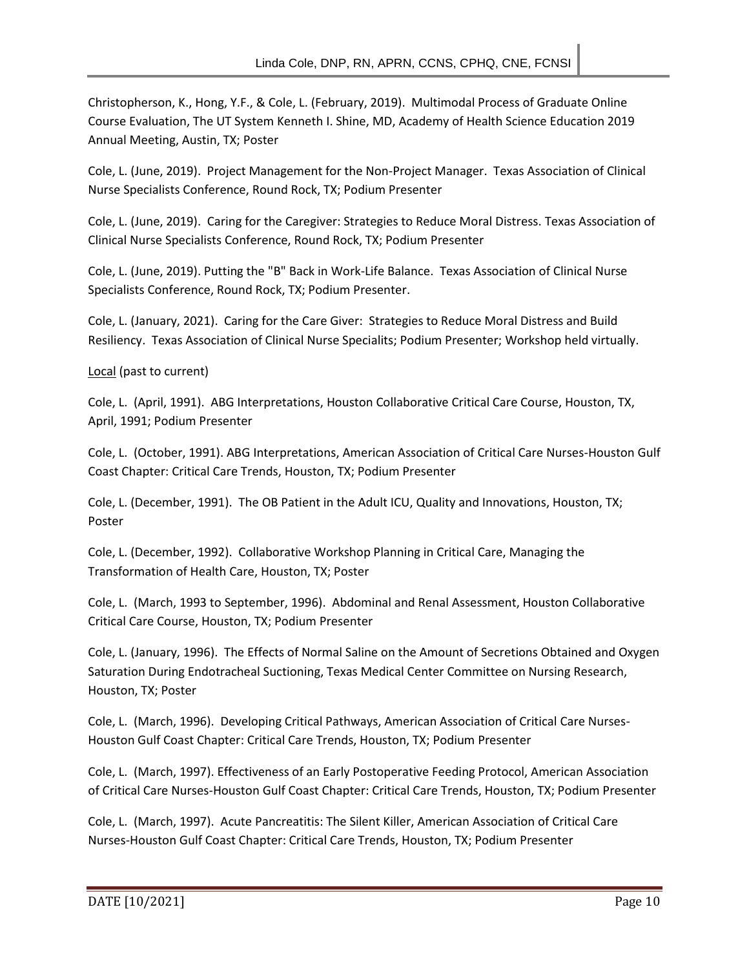Christopherson, K., Hong, Y.F., & Cole, L. (February, 2019). Multimodal Process of Graduate Online Course Evaluation, The UT System Kenneth I. Shine, MD, Academy of Health Science Education 2019 Annual Meeting, Austin, TX; Poster

Cole, L. (June, 2019). Project Management for the Non-Project Manager. Texas Association of Clinical Nurse Specialists Conference, Round Rock, TX; Podium Presenter

Cole, L. (June, 2019). Caring for the Caregiver: Strategies to Reduce Moral Distress. Texas Association of Clinical Nurse Specialists Conference, Round Rock, TX; Podium Presenter

Cole, L. (June, 2019). Putting the "B" Back in Work-Life Balance. Texas Association of Clinical Nurse Specialists Conference, Round Rock, TX; Podium Presenter.

Cole, L. (January, 2021). Caring for the Care Giver: Strategies to Reduce Moral Distress and Build Resiliency. Texas Association of Clinical Nurse Specialits; Podium Presenter; Workshop held virtually.

Local (past to current)

Cole, L. (April, 1991). ABG Interpretations, Houston Collaborative Critical Care Course, Houston, TX, April, 1991; Podium Presenter

Cole, L. (October, 1991). ABG Interpretations, American Association of Critical Care Nurses-Houston Gulf Coast Chapter: Critical Care Trends, Houston, TX; Podium Presenter

Cole, L. (December, 1991). The OB Patient in the Adult ICU, Quality and Innovations, Houston, TX; Poster

Cole, L. (December, 1992). Collaborative Workshop Planning in Critical Care, Managing the Transformation of Health Care, Houston, TX; Poster

Cole, L. (March, 1993 to September, 1996). Abdominal and Renal Assessment, Houston Collaborative Critical Care Course, Houston, TX; Podium Presenter

Cole, L. (January, 1996). The Effects of Normal Saline on the Amount of Secretions Obtained and Oxygen Saturation During Endotracheal Suctioning, Texas Medical Center Committee on Nursing Research, Houston, TX; Poster

Cole, L. (March, 1996). Developing Critical Pathways, American Association of Critical Care Nurses-Houston Gulf Coast Chapter: Critical Care Trends, Houston, TX; Podium Presenter

Cole, L. (March, 1997). Effectiveness of an Early Postoperative Feeding Protocol, American Association of Critical Care Nurses-Houston Gulf Coast Chapter: Critical Care Trends, Houston, TX; Podium Presenter

Cole, L. (March, 1997). Acute Pancreatitis: The Silent Killer, American Association of Critical Care Nurses-Houston Gulf Coast Chapter: Critical Care Trends, Houston, TX; Podium Presenter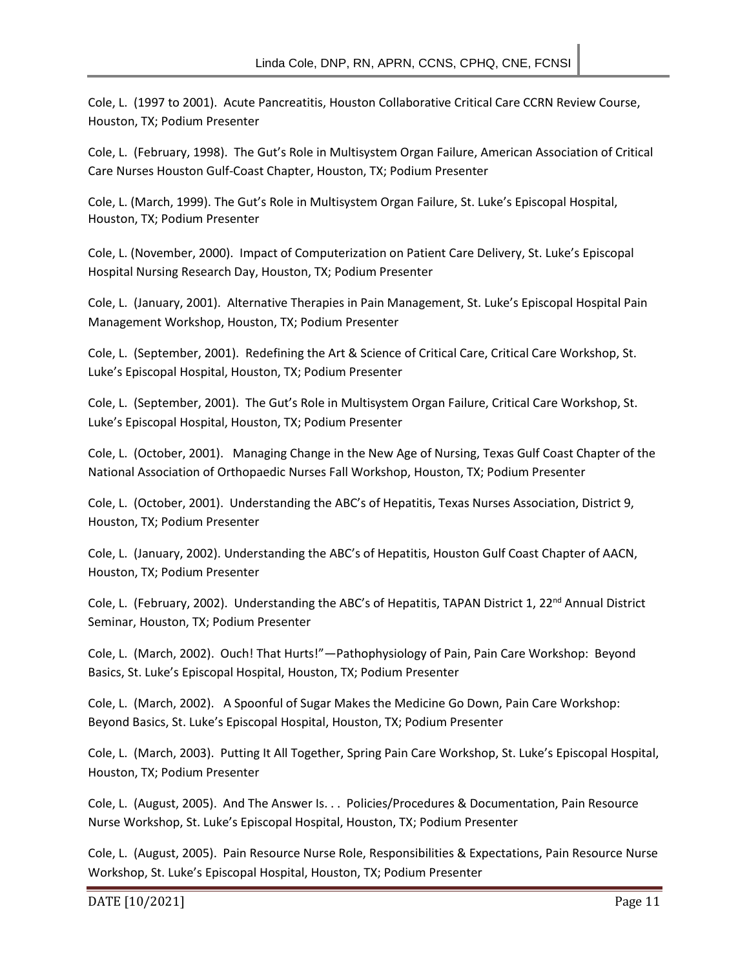Cole, L. (1997 to 2001). Acute Pancreatitis, Houston Collaborative Critical Care CCRN Review Course, Houston, TX; Podium Presenter

Cole, L. (February, 1998). The Gut's Role in Multisystem Organ Failure, American Association of Critical Care Nurses Houston Gulf-Coast Chapter, Houston, TX; Podium Presenter

Cole, L. (March, 1999). The Gut's Role in Multisystem Organ Failure, St. Luke's Episcopal Hospital, Houston, TX; Podium Presenter

Cole, L. (November, 2000). Impact of Computerization on Patient Care Delivery, St. Luke's Episcopal Hospital Nursing Research Day, Houston, TX; Podium Presenter

Cole, L. (January, 2001). Alternative Therapies in Pain Management, St. Luke's Episcopal Hospital Pain Management Workshop, Houston, TX; Podium Presenter

Cole, L. (September, 2001). Redefining the Art & Science of Critical Care, Critical Care Workshop, St. Luke's Episcopal Hospital, Houston, TX; Podium Presenter

Cole, L. (September, 2001). The Gut's Role in Multisystem Organ Failure, Critical Care Workshop, St. Luke's Episcopal Hospital, Houston, TX; Podium Presenter

Cole, L. (October, 2001). Managing Change in the New Age of Nursing, Texas Gulf Coast Chapter of the National Association of Orthopaedic Nurses Fall Workshop, Houston, TX; Podium Presenter

Cole, L. (October, 2001). Understanding the ABC's of Hepatitis, Texas Nurses Association, District 9, Houston, TX; Podium Presenter

Cole, L. (January, 2002). Understanding the ABC's of Hepatitis, Houston Gulf Coast Chapter of AACN, Houston, TX; Podium Presenter

Cole, L. (February, 2002). Understanding the ABC's of Hepatitis, TAPAN District 1, 22<sup>nd</sup> Annual District Seminar, Houston, TX; Podium Presenter

Cole, L. (March, 2002). Ouch! That Hurts!"—Pathophysiology of Pain, Pain Care Workshop: Beyond Basics, St. Luke's Episcopal Hospital, Houston, TX; Podium Presenter

Cole, L. (March, 2002). A Spoonful of Sugar Makes the Medicine Go Down, Pain Care Workshop: Beyond Basics, St. Luke's Episcopal Hospital, Houston, TX; Podium Presenter

Cole, L. (March, 2003). Putting It All Together, Spring Pain Care Workshop, St. Luke's Episcopal Hospital, Houston, TX; Podium Presenter

Cole, L. (August, 2005). And The Answer Is. . . Policies/Procedures & Documentation, Pain Resource Nurse Workshop, St. Luke's Episcopal Hospital, Houston, TX; Podium Presenter

Cole, L. (August, 2005). Pain Resource Nurse Role, Responsibilities & Expectations, Pain Resource Nurse Workshop, St. Luke's Episcopal Hospital, Houston, TX; Podium Presenter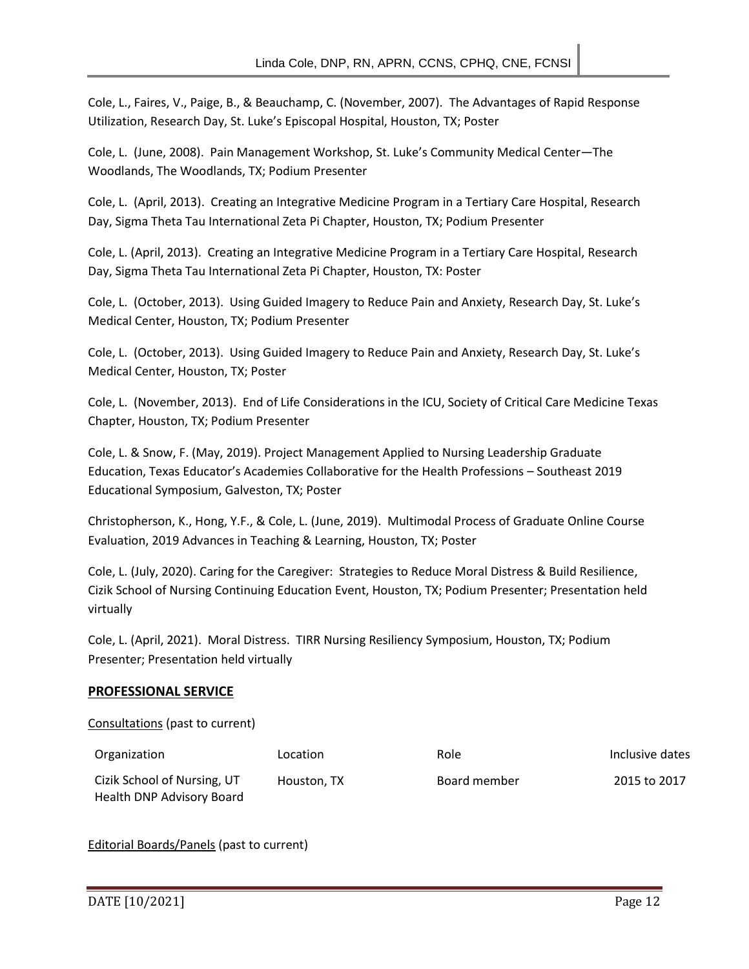Cole, L., Faires, V., Paige, B., & Beauchamp, C. (November, 2007). The Advantages of Rapid Response Utilization, Research Day, St. Luke's Episcopal Hospital, Houston, TX; Poster

Cole, L. (June, 2008). Pain Management Workshop, St. Luke's Community Medical Center—The Woodlands, The Woodlands, TX; Podium Presenter

Cole, L. (April, 2013). Creating an Integrative Medicine Program in a Tertiary Care Hospital, Research Day, Sigma Theta Tau International Zeta Pi Chapter, Houston, TX; Podium Presenter

Cole, L. (April, 2013). Creating an Integrative Medicine Program in a Tertiary Care Hospital, Research Day, Sigma Theta Tau International Zeta Pi Chapter, Houston, TX: Poster

Cole, L. (October, 2013). Using Guided Imagery to Reduce Pain and Anxiety, Research Day, St. Luke's Medical Center, Houston, TX; Podium Presenter

Cole, L. (October, 2013). Using Guided Imagery to Reduce Pain and Anxiety, Research Day, St. Luke's Medical Center, Houston, TX; Poster

Cole, L. (November, 2013). End of Life Considerations in the ICU, Society of Critical Care Medicine Texas Chapter, Houston, TX; Podium Presenter

Cole, L. & Snow, F. (May, 2019). Project Management Applied to Nursing Leadership Graduate Education, Texas Educator's Academies Collaborative for the Health Professions – Southeast 2019 Educational Symposium, Galveston, TX; Poster

Christopherson, K., Hong, Y.F., & Cole, L. (June, 2019). Multimodal Process of Graduate Online Course Evaluation, 2019 Advances in Teaching & Learning, Houston, TX; Poster

Cole, L. (July, 2020). Caring for the Caregiver: Strategies to Reduce Moral Distress & Build Resilience, Cizik School of Nursing Continuing Education Event, Houston, TX; Podium Presenter; Presentation held virtually

Cole, L. (April, 2021). Moral Distress. TIRR Nursing Resiliency Symposium, Houston, TX; Podium Presenter; Presentation held virtually

## **PROFESSIONAL SERVICE**

Consultations (past to current)

| Organization                | Location    | Role         | Inclusive dates |
|-----------------------------|-------------|--------------|-----------------|
| Cizik School of Nursing, UT | Houston, TX | Board member | 2015 to 2017    |
| Health DNP Advisory Board   |             |              |                 |

Editorial Boards/Panels (past to current)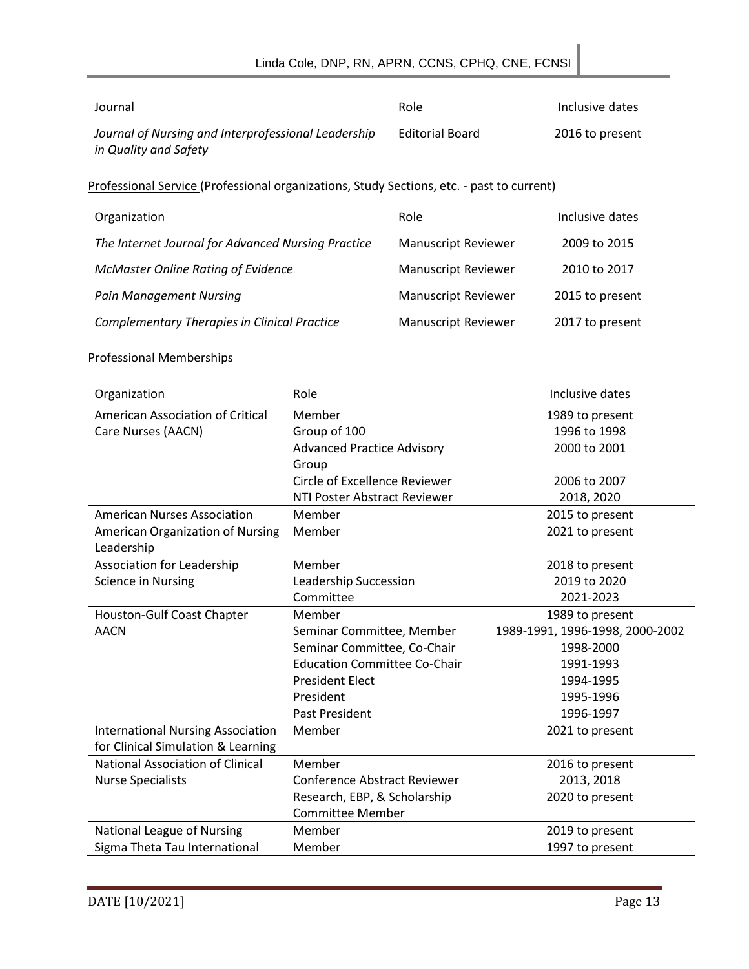| Journal                                                                                   |                                     | Role                       | Inclusive dates                 |
|-------------------------------------------------------------------------------------------|-------------------------------------|----------------------------|---------------------------------|
| Journal of Nursing and Interprofessional Leadership<br>in Quality and Safety              |                                     | <b>Editorial Board</b>     | 2016 to present                 |
| Professional Service (Professional organizations, Study Sections, etc. - past to current) |                                     |                            |                                 |
| Organization                                                                              |                                     | Role                       | Inclusive dates                 |
| The Internet Journal for Advanced Nursing Practice                                        |                                     | <b>Manuscript Reviewer</b> | 2009 to 2015                    |
| McMaster Online Rating of Evidence                                                        |                                     | <b>Manuscript Reviewer</b> | 2010 to 2017                    |
| <b>Pain Management Nursing</b>                                                            |                                     | <b>Manuscript Reviewer</b> | 2015 to present                 |
| <b>Complementary Therapies in Clinical Practice</b>                                       |                                     | <b>Manuscript Reviewer</b> | 2017 to present                 |
| <b>Professional Memberships</b>                                                           |                                     |                            |                                 |
| Organization                                                                              | Role                                |                            | Inclusive dates                 |
| American Association of Critical                                                          | Member                              |                            | 1989 to present                 |
| Care Nurses (AACN)                                                                        | Group of 100                        |                            | 1996 to 1998                    |
|                                                                                           | <b>Advanced Practice Advisory</b>   |                            | 2000 to 2001                    |
|                                                                                           | Group                               |                            |                                 |
|                                                                                           | Circle of Excellence Reviewer       |                            | 2006 to 2007                    |
|                                                                                           | NTI Poster Abstract Reviewer        |                            | 2018, 2020                      |
| <b>American Nurses Association</b>                                                        | Member                              |                            | 2015 to present                 |
| American Organization of Nursing                                                          | Member                              |                            | 2021 to present                 |
| Leadership                                                                                |                                     |                            |                                 |
| Association for Leadership                                                                | Member                              |                            | 2018 to present                 |
| <b>Science in Nursing</b>                                                                 | Leadership Succession               |                            | 2019 to 2020                    |
|                                                                                           | Committee                           |                            | 2021-2023                       |
| Houston-Gulf Coast Chapter                                                                | Member                              |                            | 1989 to present                 |
| <b>AACN</b>                                                                               | Seminar Committee, Member           |                            | 1989-1991, 1996-1998, 2000-2002 |
|                                                                                           | Seminar Committee, Co-Chair         |                            | 1998-2000                       |
|                                                                                           | <b>Education Committee Co-Chair</b> |                            | 1991-1993                       |
|                                                                                           | <b>President Elect</b>              |                            | 1994-1995                       |
|                                                                                           | President                           |                            | 1995-1996                       |
|                                                                                           | Past President                      |                            | 1996-1997                       |
| <b>International Nursing Association</b><br>for Clinical Simulation & Learning            | Member                              |                            | 2021 to present                 |
| <b>National Association of Clinical</b>                                                   | Member                              |                            | 2016 to present                 |
| <b>Nurse Specialists</b>                                                                  | <b>Conference Abstract Reviewer</b> |                            | 2013, 2018                      |
|                                                                                           | Research, EBP, & Scholarship        |                            | 2020 to present                 |
|                                                                                           | <b>Committee Member</b>             |                            |                                 |
| National League of Nursing                                                                | Member                              |                            | 2019 to present                 |
| Sigma Theta Tau International                                                             | Member                              |                            | 1997 to present                 |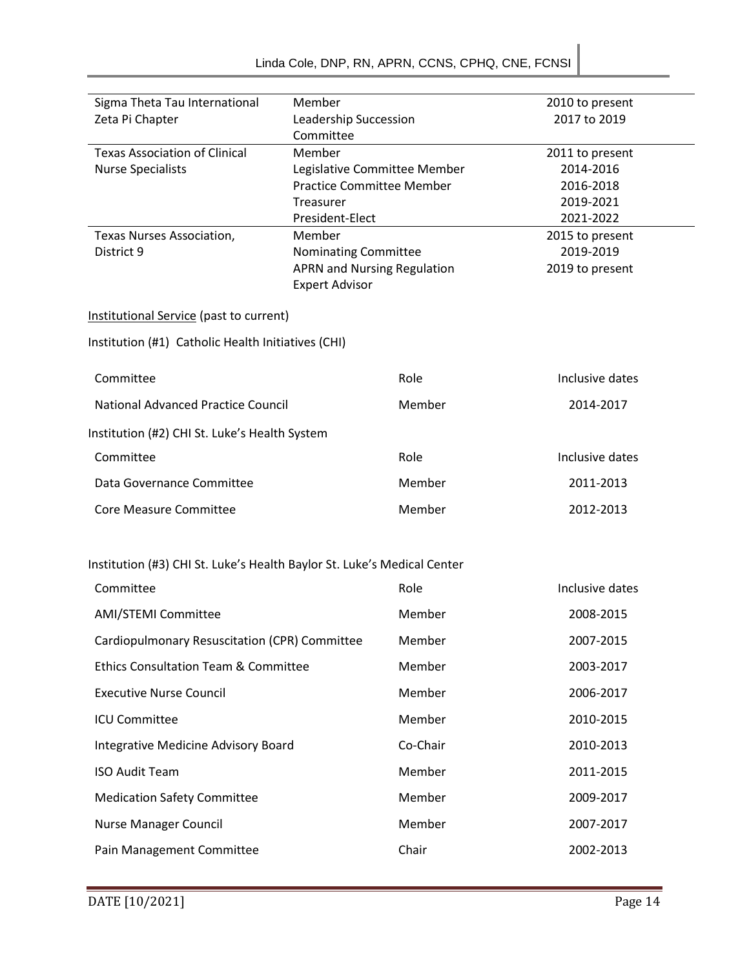| Sigma Theta Tau International<br>Member                                 |                                                                   |          | 2010 to present              |  |
|-------------------------------------------------------------------------|-------------------------------------------------------------------|----------|------------------------------|--|
| Zeta Pi Chapter                                                         | Leadership Succession                                             |          | 2017 to 2019                 |  |
|                                                                         | Committee                                                         |          |                              |  |
| <b>Texas Association of Clinical</b><br>Member                          |                                                                   |          | 2011 to present              |  |
| <b>Nurse Specialists</b>                                                | Legislative Committee Member                                      |          | 2014-2016                    |  |
|                                                                         | <b>Practice Committee Member</b>                                  |          | 2016-2018                    |  |
|                                                                         | Treasurer                                                         |          | 2019-2021                    |  |
|                                                                         | President-Elect                                                   |          | 2021-2022                    |  |
| Texas Nurses Association,                                               | Member                                                            |          | 2015 to present<br>2019-2019 |  |
| District 9                                                              | <b>Nominating Committee</b><br><b>APRN and Nursing Regulation</b> |          | 2019 to present              |  |
|                                                                         | <b>Expert Advisor</b>                                             |          |                              |  |
|                                                                         |                                                                   |          |                              |  |
| Institutional Service (past to current)                                 |                                                                   |          |                              |  |
| Institution (#1) Catholic Health Initiatives (CHI)                      |                                                                   |          |                              |  |
| Committee                                                               |                                                                   | Role     | Inclusive dates              |  |
| National Advanced Practice Council                                      |                                                                   | Member   | 2014-2017                    |  |
| Institution (#2) CHI St. Luke's Health System                           |                                                                   |          |                              |  |
| Committee                                                               |                                                                   | Role     | Inclusive dates              |  |
| Data Governance Committee                                               |                                                                   | Member   | 2011-2013                    |  |
| <b>Core Measure Committee</b>                                           |                                                                   | Member   | 2012-2013                    |  |
| Institution (#3) CHI St. Luke's Health Baylor St. Luke's Medical Center |                                                                   |          |                              |  |
| Committee                                                               |                                                                   | Role     | Inclusive dates              |  |
| <b>AMI/STEMI Committee</b>                                              |                                                                   | Member   | 2008-2015                    |  |
| Cardiopulmonary Resuscitation (CPR) Committee                           |                                                                   | Member   | 2007-2015                    |  |
| <b>Ethics Consultation Team &amp; Committee</b>                         |                                                                   | Member   | 2003-2017                    |  |
| <b>Executive Nurse Council</b>                                          |                                                                   | Member   | 2006-2017                    |  |
| <b>ICU Committee</b>                                                    |                                                                   | Member   | 2010-2015                    |  |
| Integrative Medicine Advisory Board                                     |                                                                   | Co-Chair | 2010-2013                    |  |
| <b>ISO Audit Team</b>                                                   |                                                                   | Member   | 2011-2015                    |  |
| <b>Medication Safety Committee</b>                                      |                                                                   | Member   | 2009-2017                    |  |
| <b>Nurse Manager Council</b>                                            |                                                                   | Member   | 2007-2017                    |  |
| Pain Management Committee                                               |                                                                   | Chair    | 2002-2013                    |  |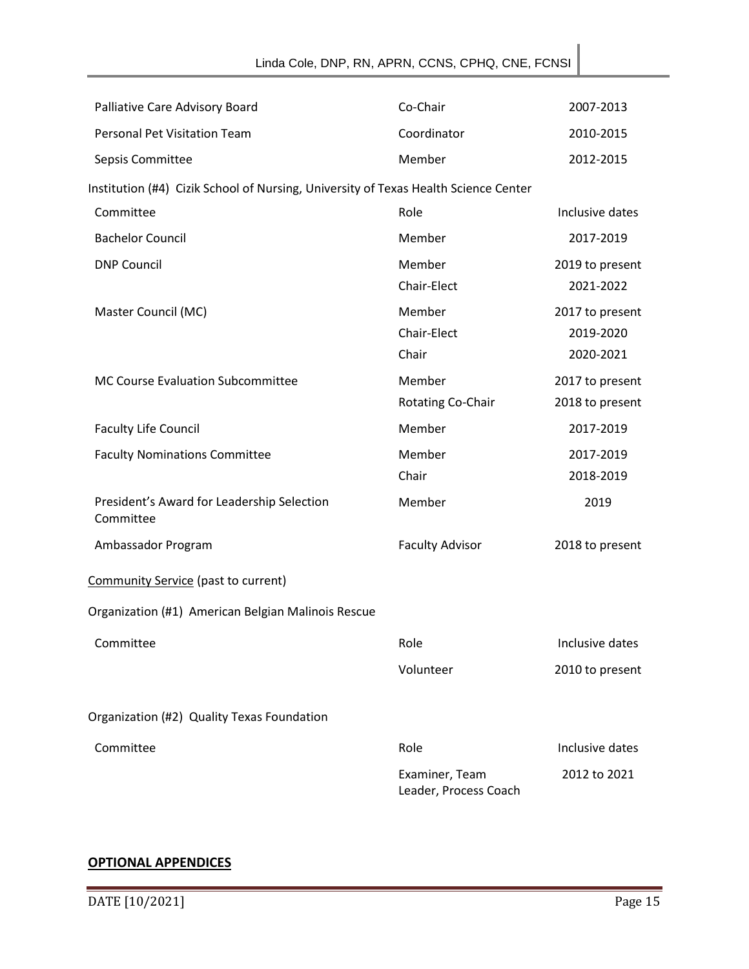| Palliative Care Advisory Board                                                      | Co-Chair                                | 2007-2013                                 |
|-------------------------------------------------------------------------------------|-----------------------------------------|-------------------------------------------|
| <b>Personal Pet Visitation Team</b>                                                 | Coordinator                             | 2010-2015                                 |
| Sepsis Committee                                                                    | Member                                  | 2012-2015                                 |
| Institution (#4) Cizik School of Nursing, University of Texas Health Science Center |                                         |                                           |
| Committee                                                                           | Role                                    | Inclusive dates                           |
| <b>Bachelor Council</b>                                                             | Member                                  | 2017-2019                                 |
| <b>DNP Council</b>                                                                  | Member<br>Chair-Elect                   | 2019 to present<br>2021-2022              |
| Master Council (MC)                                                                 | Member<br>Chair-Elect<br>Chair          | 2017 to present<br>2019-2020<br>2020-2021 |
| MC Course Evaluation Subcommittee                                                   | Member<br>Rotating Co-Chair             | 2017 to present<br>2018 to present        |
| <b>Faculty Life Council</b>                                                         | Member                                  | 2017-2019                                 |
| <b>Faculty Nominations Committee</b>                                                | Member<br>Chair                         | 2017-2019<br>2018-2019                    |
| President's Award for Leadership Selection<br>Committee                             | Member                                  | 2019                                      |
| Ambassador Program                                                                  | <b>Faculty Advisor</b>                  | 2018 to present                           |
| Community Service (past to current)                                                 |                                         |                                           |
| Organization (#1) American Belgian Malinois Rescue                                  |                                         |                                           |
| Committee                                                                           | Role                                    | Inclusive dates                           |
|                                                                                     | Volunteer                               | 2010 to present                           |
| Organization (#2) Quality Texas Foundation                                          |                                         |                                           |
| Committee                                                                           | Role                                    | Inclusive dates                           |
|                                                                                     | Examiner, Team<br>Leader, Process Coach | 2012 to 2021                              |

## **OPTIONAL APPENDICES**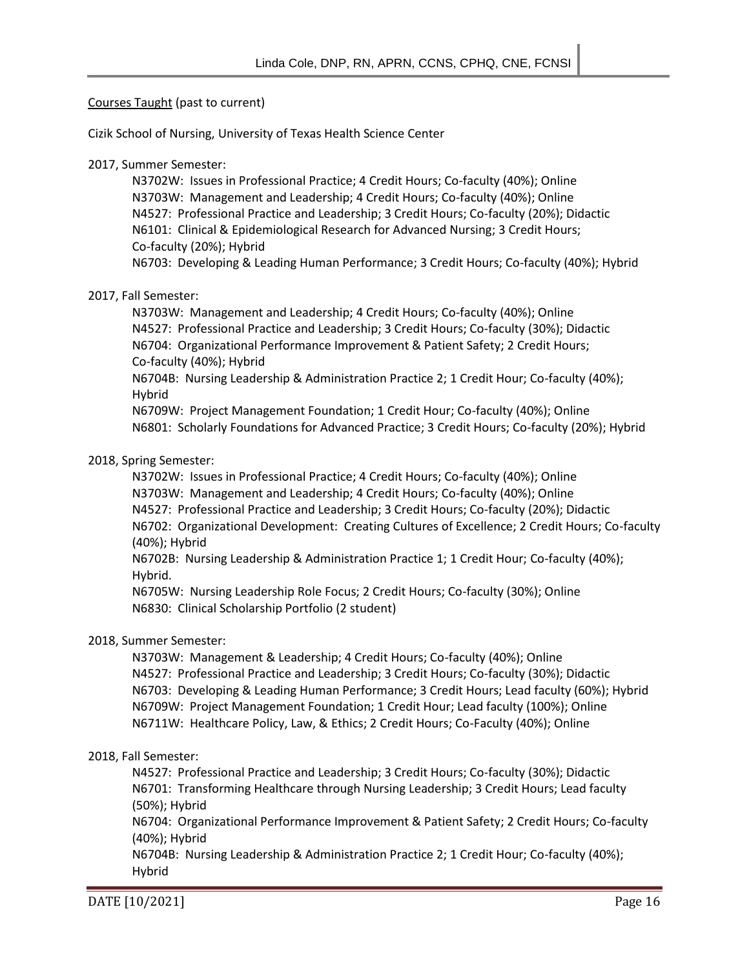#### Courses Taught (past to current)

Cizik School of Nursing, University of Texas Health Science Center

#### 2017, Summer Semester:

N3702W: Issues in Professional Practice; 4 Credit Hours; Co-faculty (40%); Online N3703W: Management and Leadership; 4 Credit Hours; Co-faculty (40%); Online N4527: Professional Practice and Leadership; 3 Credit Hours; Co-faculty (20%); Didactic N6101: Clinical & Epidemiological Research for Advanced Nursing; 3 Credit Hours; Co-faculty (20%); Hybrid N6703: Developing & Leading Human Performance; 3 Credit Hours; Co-faculty (40%); Hybrid

## 2017, Fall Semester:

N3703W: Management and Leadership; 4 Credit Hours; Co-faculty (40%); Online N4527: Professional Practice and Leadership; 3 Credit Hours; Co-faculty (30%); Didactic N6704: Organizational Performance Improvement & Patient Safety; 2 Credit Hours; Co-faculty (40%); Hybrid

N6704B: Nursing Leadership & Administration Practice 2; 1 Credit Hour; Co-faculty (40%); Hybrid

N6709W: Project Management Foundation; 1 Credit Hour; Co-faculty (40%); Online N6801: Scholarly Foundations for Advanced Practice; 3 Credit Hours; Co-faculty (20%); Hybrid

#### 2018, Spring Semester:

N3702W: Issues in Professional Practice; 4 Credit Hours; Co-faculty (40%); Online N3703W: Management and Leadership; 4 Credit Hours; Co-faculty (40%); Online N4527: Professional Practice and Leadership; 3 Credit Hours; Co-faculty (20%); Didactic N6702: Organizational Development: Creating Cultures of Excellence; 2 Credit Hours; Co-faculty (40%); Hybrid

N6702B: Nursing Leadership & Administration Practice 1; 1 Credit Hour; Co-faculty (40%); Hybrid.

N6705W: Nursing Leadership Role Focus; 2 Credit Hours; Co-faculty (30%); Online N6830: Clinical Scholarship Portfolio (2 student)

#### 2018, Summer Semester:

N3703W: Management & Leadership; 4 Credit Hours; Co-faculty (40%); Online N4527: Professional Practice and Leadership; 3 Credit Hours; Co-faculty (30%); Didactic N6703: Developing & Leading Human Performance; 3 Credit Hours; Lead faculty (60%); Hybrid N6709W: Project Management Foundation; 1 Credit Hour; Lead faculty (100%); Online N6711W: Healthcare Policy, Law, & Ethics; 2 Credit Hours; Co-Faculty (40%); Online

#### 2018, Fall Semester:

N4527: Professional Practice and Leadership; 3 Credit Hours; Co-faculty (30%); Didactic N6701: Transforming Healthcare through Nursing Leadership; 3 Credit Hours; Lead faculty (50%); Hybrid

N6704: Organizational Performance Improvement & Patient Safety; 2 Credit Hours; Co-faculty (40%); Hybrid

N6704B: Nursing Leadership & Administration Practice 2; 1 Credit Hour; Co-faculty (40%); Hybrid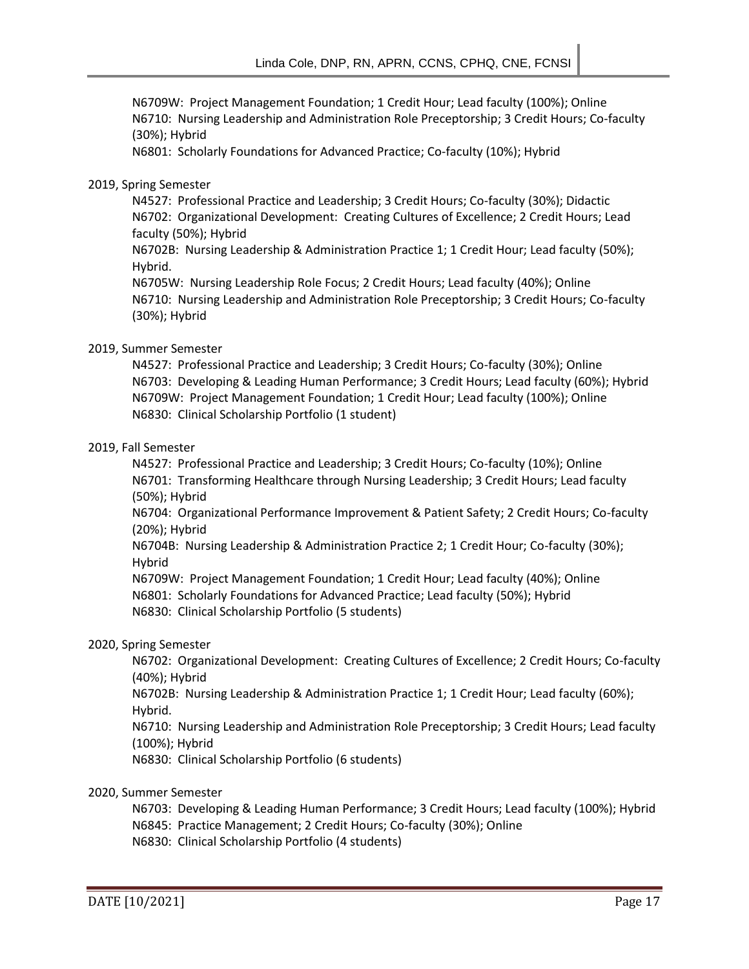N6709W: Project Management Foundation; 1 Credit Hour; Lead faculty (100%); Online N6710: Nursing Leadership and Administration Role Preceptorship; 3 Credit Hours; Co-faculty (30%); Hybrid

N6801: Scholarly Foundations for Advanced Practice; Co-faculty (10%); Hybrid

#### 2019, Spring Semester

N4527: Professional Practice and Leadership; 3 Credit Hours; Co-faculty (30%); Didactic N6702: Organizational Development: Creating Cultures of Excellence; 2 Credit Hours; Lead faculty (50%); Hybrid

N6702B: Nursing Leadership & Administration Practice 1; 1 Credit Hour; Lead faculty (50%); Hybrid.

N6705W: Nursing Leadership Role Focus; 2 Credit Hours; Lead faculty (40%); Online N6710: Nursing Leadership and Administration Role Preceptorship; 3 Credit Hours; Co-faculty (30%); Hybrid

## 2019, Summer Semester

N4527: Professional Practice and Leadership; 3 Credit Hours; Co-faculty (30%); Online N6703: Developing & Leading Human Performance; 3 Credit Hours; Lead faculty (60%); Hybrid N6709W: Project Management Foundation; 1 Credit Hour; Lead faculty (100%); Online N6830: Clinical Scholarship Portfolio (1 student)

#### 2019, Fall Semester

N4527: Professional Practice and Leadership; 3 Credit Hours; Co-faculty (10%); Online N6701: Transforming Healthcare through Nursing Leadership; 3 Credit Hours; Lead faculty (50%); Hybrid

N6704: Organizational Performance Improvement & Patient Safety; 2 Credit Hours; Co-faculty (20%); Hybrid

N6704B: Nursing Leadership & Administration Practice 2; 1 Credit Hour; Co-faculty (30%); Hybrid

N6709W: Project Management Foundation; 1 Credit Hour; Lead faculty (40%); Online N6801: Scholarly Foundations for Advanced Practice; Lead faculty (50%); Hybrid N6830: Clinical Scholarship Portfolio (5 students)

#### 2020, Spring Semester

N6702: Organizational Development: Creating Cultures of Excellence; 2 Credit Hours; Co-faculty (40%); Hybrid

N6702B: Nursing Leadership & Administration Practice 1; 1 Credit Hour; Lead faculty (60%); Hybrid.

N6710: Nursing Leadership and Administration Role Preceptorship; 3 Credit Hours; Lead faculty (100%); Hybrid

N6830: Clinical Scholarship Portfolio (6 students)

#### 2020, Summer Semester

N6703: Developing & Leading Human Performance; 3 Credit Hours; Lead faculty (100%); Hybrid

- N6845: Practice Management; 2 Credit Hours; Co-faculty (30%); Online
- N6830: Clinical Scholarship Portfolio (4 students)